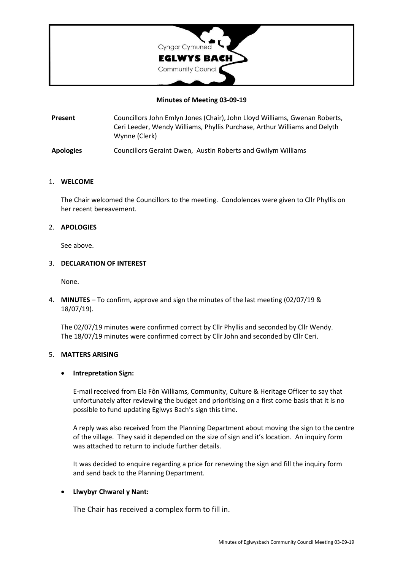

#### **Minutes of Meeting 03-09-19**

**Present** Councillors John Emlyn Jones (Chair), John Lloyd Williams, Gwenan Roberts, Ceri Leeder, Wendy Williams, Phyllis Purchase, Arthur Williams and Delyth Wynne (Clerk)

**Apologies** Councillors Geraint Owen, Austin Roberts and Gwilym Williams

#### 1. **WELCOME**

The Chair welcomed the Councillors to the meeting. Condolences were given to Cllr Phyllis on her recent bereavement.

#### 2. **APOLOGIES**

See above.

## 3. **DECLARATION OF INTEREST**

None.

4. **MINUTES** – To confirm, approve and sign the minutes of the last meeting (02/07/19 & 18/07/19).

The 02/07/19 minutes were confirmed correct by Cllr Phyllis and seconded by Cllr Wendy. The 18/07/19 minutes were confirmed correct by Cllr John and seconded by Cllr Ceri.

#### 5. **MATTERS ARISING**

## • **Intrepretation Sign:**

E-mail received from Ela Fôn Williams, Community, Culture & Heritage Officer to say that unfortunately after reviewing the budget and prioritising on a first come basis that it is no possible to fund updating Eglwys Bach's sign this time.

A reply was also received from the Planning Department about moving the sign to the centre of the village. They said it depended on the size of sign and it's location. An inquiry form was attached to return to include further details.

It was decided to enquire regarding a price for renewing the sign and fill the inquiry form and send back to the Planning Department.

## • **Llwybyr Chwarel y Nant:**

The Chair has received a complex form to fill in.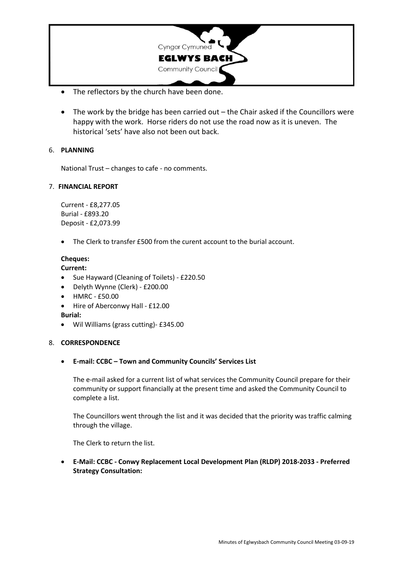

- The reflectors by the church have been done.
- The work by the bridge has been carried out the Chair asked if the Councillors were happy with the work. Horse riders do not use the road now as it is uneven. The historical 'sets' have also not been out back.

# 6. **PLANNING**

National Trust – changes to cafe - no comments.

# 7. **FINANCIAL REPORT**

Current - £8,277.05 Burial - £893.20 Deposit - £2,073.99

The Clerk to transfer £500 from the curent account to the burial account.

# **Cheques:**

**Current:**

- Sue Hayward (Cleaning of Toilets) £220.50
- Delyth Wynne (Clerk) £200.00
- HMRC £50.00
- Hire of Aberconwy Hall £12.00

**Burial:**

• Wil Williams (grass cutting)- £345.00

## 8. **CORRESPONDENCE**

• **E-mail: CCBC – Town and Community Councils' Services List**

The e-mail asked for a current list of what services the Community Council prepare for their community or support financially at the present time and asked the Community Council to complete a list.

The Councillors went through the list and it was decided that the priority was traffic calming through the village.

The Clerk to return the list.

• **E-Mail: CCBC - Conwy Replacement Local Development Plan (RLDP) 2018-2033 - Preferred Strategy Consultation:**